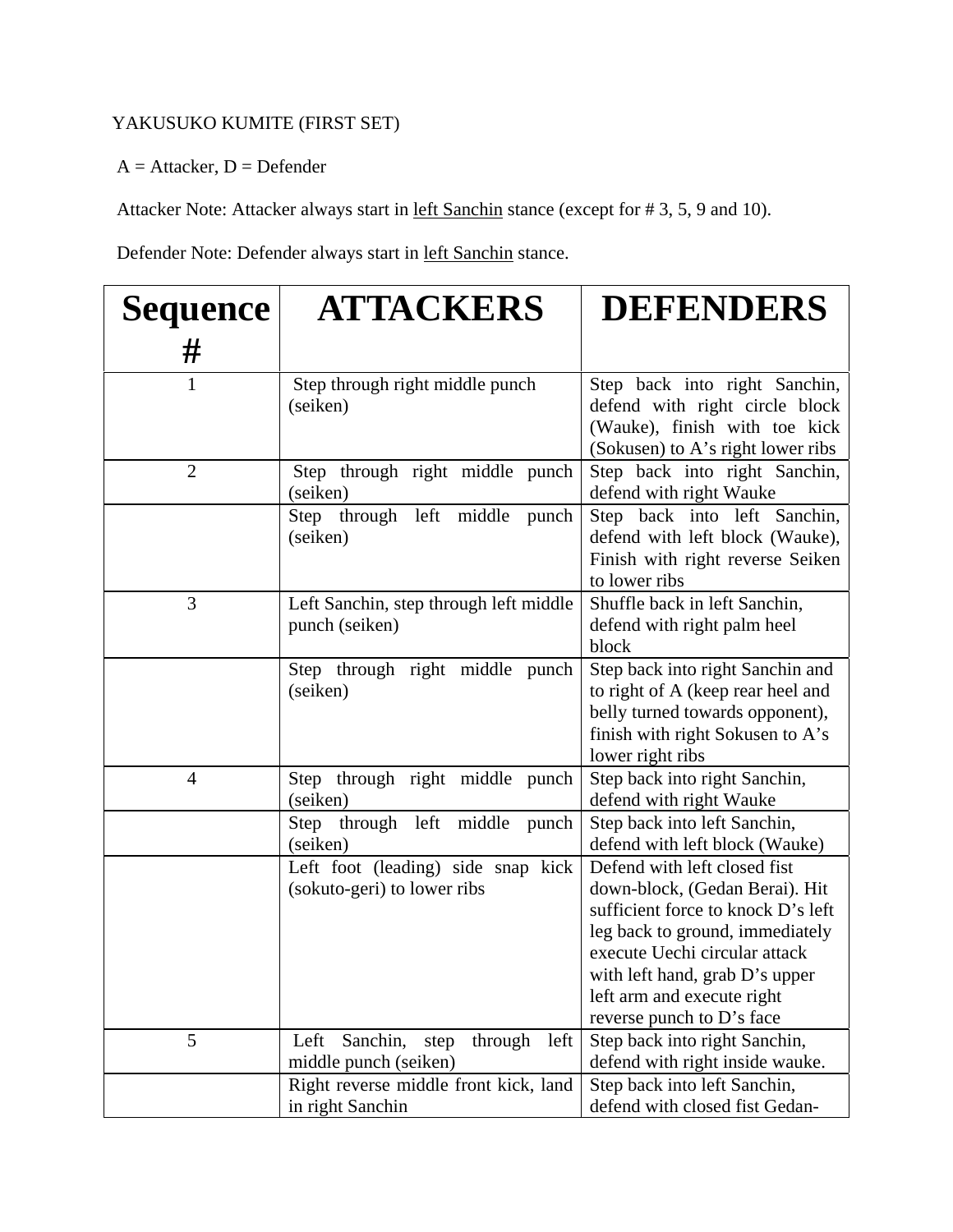## YAKUSUKO KUMITE (FIRST SET)

 $A =$  Attacker,  $D =$  Defender

Attacker Note: Attacker always start in <u>left Sanchin</u> stance (except for #3, 5, 9 and 10).

Defender Note: Defender always start in left Sanchin stance.

| <b>Sequence</b><br># | <b>ATTACKERS</b>                                                     | <b>DEFENDERS</b>                                                                                                                                                                                                                                                      |
|----------------------|----------------------------------------------------------------------|-----------------------------------------------------------------------------------------------------------------------------------------------------------------------------------------------------------------------------------------------------------------------|
| $\mathbf{1}$         | Step through right middle punch<br>(seiken)                          | Step back into right Sanchin,<br>defend with right circle block<br>(Wauke), finish with toe kick<br>(Sokusen) to A's right lower ribs                                                                                                                                 |
| $\overline{2}$       | Step through right middle punch<br>(seiken)                          | Step back into right Sanchin,<br>defend with right Wauke                                                                                                                                                                                                              |
|                      | Step through left middle<br>punch<br>(seiken)                        | Step back into left Sanchin,<br>defend with left block (Wauke),<br>Finish with right reverse Seiken<br>to lower ribs                                                                                                                                                  |
| 3                    | Left Sanchin, step through left middle<br>punch (seiken)             | Shuffle back in left Sanchin,<br>defend with right palm heel<br>block                                                                                                                                                                                                 |
|                      | Step through right middle punch<br>(seiken)                          | Step back into right Sanchin and<br>to right of A (keep rear heel and<br>belly turned towards opponent),<br>finish with right Sokusen to A's<br>lower right ribs                                                                                                      |
| $\overline{4}$       | Step through right middle punch<br>(seiken)                          | Step back into right Sanchin,<br>defend with right Wauke                                                                                                                                                                                                              |
|                      | Step through left middle<br>punch<br>(seiken)                        | Step back into left Sanchin,<br>defend with left block (Wauke)                                                                                                                                                                                                        |
|                      | Left foot (leading) side snap kick<br>(sokuto-geri) to lower ribs    | Defend with left closed fist<br>down-block, (Gedan Berai). Hit<br>sufficient force to knock D's left<br>leg back to ground, immediately<br>execute Uechi circular attack<br>with left hand, grab D's upper<br>left arm and execute right<br>reverse punch to D's face |
| 5                    | Sanchin,<br>through<br>Left<br>left<br>step<br>middle punch (seiken) | Step back into right Sanchin,<br>defend with right inside wauke.                                                                                                                                                                                                      |
|                      | Right reverse middle front kick, land<br>in right Sanchin            | Step back into left Sanchin,<br>defend with closed fist Gedan-                                                                                                                                                                                                        |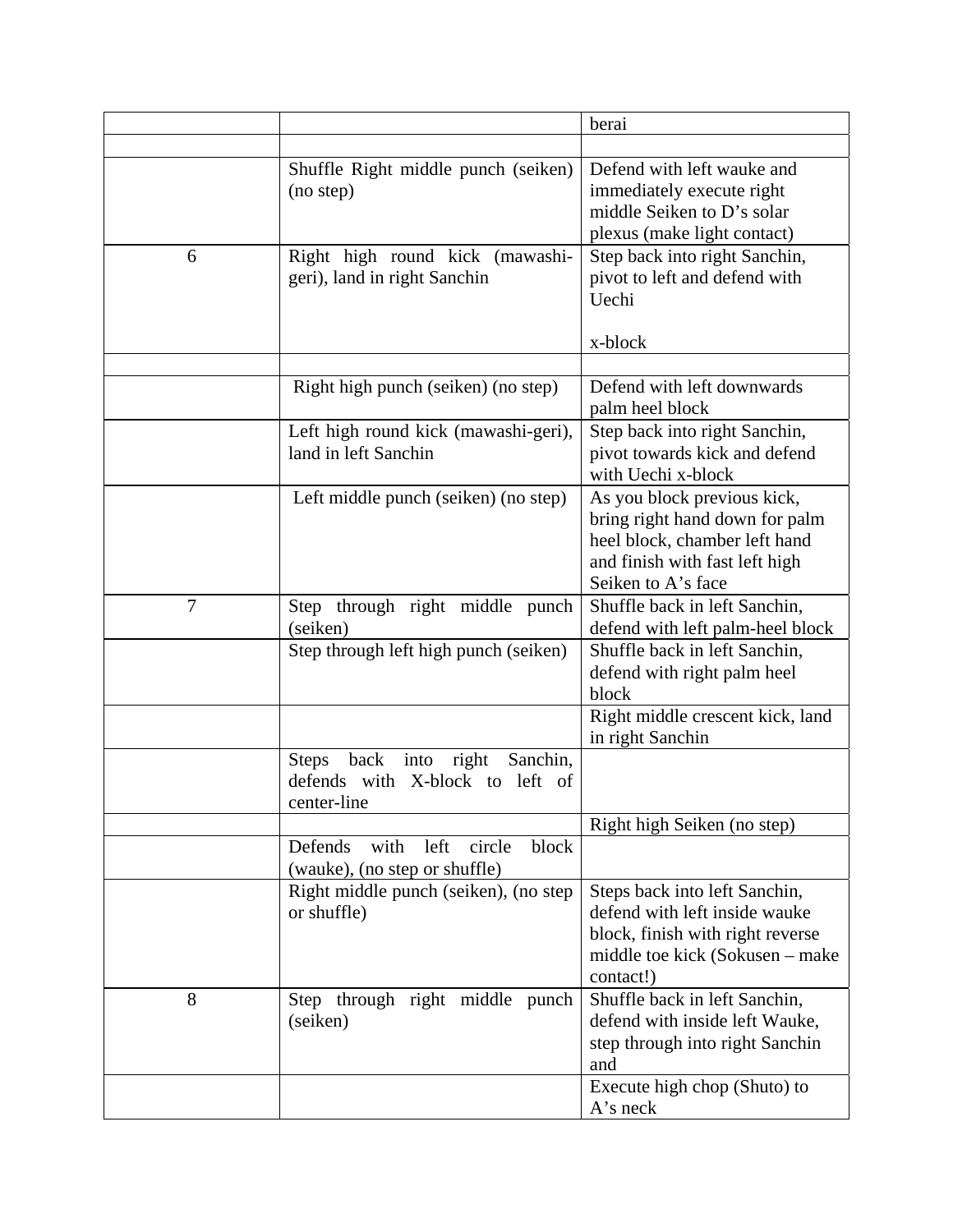|   |                                                                                                     | berai                                                                                                                                                  |
|---|-----------------------------------------------------------------------------------------------------|--------------------------------------------------------------------------------------------------------------------------------------------------------|
|   |                                                                                                     |                                                                                                                                                        |
|   | Shuffle Right middle punch (seiken)<br>(no step)                                                    | Defend with left wauke and<br>immediately execute right<br>middle Seiken to D's solar<br>plexus (make light contact)                                   |
| 6 | Right high round kick (mawashi-<br>geri), land in right Sanchin                                     | Step back into right Sanchin,<br>pivot to left and defend with<br>Uechi<br>x-block                                                                     |
|   | Right high punch (seiken) (no step)                                                                 | Defend with left downwards<br>palm heel block                                                                                                          |
|   | Left high round kick (mawashi-geri),<br>land in left Sanchin                                        | Step back into right Sanchin,<br>pivot towards kick and defend<br>with Uechi x-block                                                                   |
|   | Left middle punch (seiken) (no step)                                                                | As you block previous kick,<br>bring right hand down for palm<br>heel block, chamber left hand<br>and finish with fast left high<br>Seiken to A's face |
| 7 | Step through right middle punch<br>(seiken)                                                         | Shuffle back in left Sanchin,<br>defend with left palm-heel block                                                                                      |
|   | Step through left high punch (seiken)                                                               | Shuffle back in left Sanchin,<br>defend with right palm heel<br>block                                                                                  |
|   |                                                                                                     | Right middle crescent kick, land<br>in right Sanchin                                                                                                   |
|   | right<br>back<br>Sanchin,<br><b>Steps</b><br>into<br>defends with X-block to left of<br>center-line |                                                                                                                                                        |
|   | block<br>Defends<br>left<br>circle<br>with                                                          | Right high Seiken (no step)                                                                                                                            |
|   | (wauke), (no step or shuffle)<br>Right middle punch (seiken), (no step<br>or shuffle)               | Steps back into left Sanchin,<br>defend with left inside wauke<br>block, finish with right reverse<br>middle toe kick (Sokusen – make<br>contact!)     |
| 8 | through right middle punch<br>Step<br>(seiken)                                                      | Shuffle back in left Sanchin,<br>defend with inside left Wauke,<br>step through into right Sanchin<br>and<br>Execute high chop (Shuto) to              |
|   |                                                                                                     | A's neck                                                                                                                                               |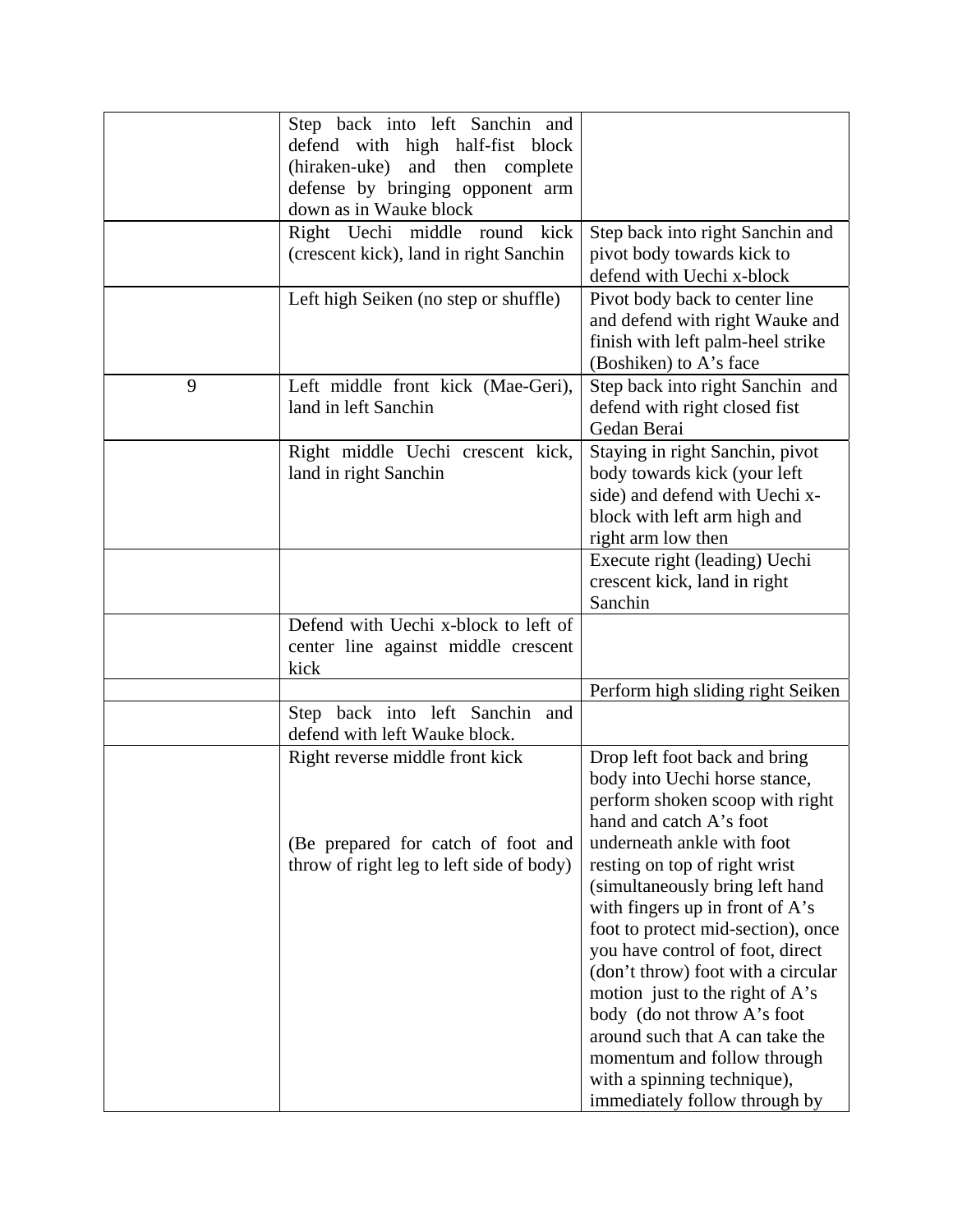|   | Step back into left Sanchin and          |                                    |
|---|------------------------------------------|------------------------------------|
|   | defend with high half-fist block         |                                    |
|   | (hiraken-uke)<br>and then complete       |                                    |
|   | defense by bringing opponent arm         |                                    |
|   | down as in Wauke block                   |                                    |
|   | Right Uechi middle round kick            | Step back into right Sanchin and   |
|   | (crescent kick), land in right Sanchin   | pivot body towards kick to         |
|   |                                          | defend with Uechi x-block          |
|   | Left high Seiken (no step or shuffle)    | Pivot body back to center line     |
|   |                                          | and defend with right Wauke and    |
|   |                                          | finish with left palm-heel strike  |
|   |                                          | (Boshiken) to A's face             |
| 9 | Left middle front kick (Mae-Geri),       | Step back into right Sanchin and   |
|   | land in left Sanchin                     |                                    |
|   |                                          | defend with right closed fist      |
|   |                                          | Gedan Berai                        |
|   | Right middle Uechi crescent kick,        | Staying in right Sanchin, pivot    |
|   | land in right Sanchin                    | body towards kick (your left       |
|   |                                          | side) and defend with Uechi x-     |
|   |                                          | block with left arm high and       |
|   |                                          | right arm low then                 |
|   |                                          | Execute right (leading) Uechi      |
|   |                                          | crescent kick, land in right       |
|   |                                          | Sanchin                            |
|   | Defend with Uechi x-block to left of     |                                    |
|   | center line against middle crescent      |                                    |
|   | kick                                     |                                    |
|   |                                          | Perform high sliding right Seiken  |
|   | Step back into left Sanchin and          |                                    |
|   | defend with left Wauke block.            |                                    |
|   | Right reverse middle front kick          | Drop left foot back and bring      |
|   |                                          | body into Uechi horse stance,      |
|   |                                          | perform shoken scoop with right    |
|   |                                          | hand and catch A's foot            |
|   | (Be prepared for catch of foot and       | underneath ankle with foot         |
|   | throw of right leg to left side of body) | resting on top of right wrist      |
|   |                                          | (simultaneously bring left hand    |
|   |                                          | with fingers up in front of $A$ 's |
|   |                                          | foot to protect mid-section), once |
|   |                                          | you have control of foot, direct   |
|   |                                          | (don't throw) foot with a circular |
|   |                                          | motion just to the right of A's    |
|   |                                          |                                    |
|   |                                          | body (do not throw A's foot        |
|   |                                          | around such that A can take the    |
|   |                                          | momentum and follow through        |
|   |                                          | with a spinning technique),        |
|   |                                          | immediately follow through by      |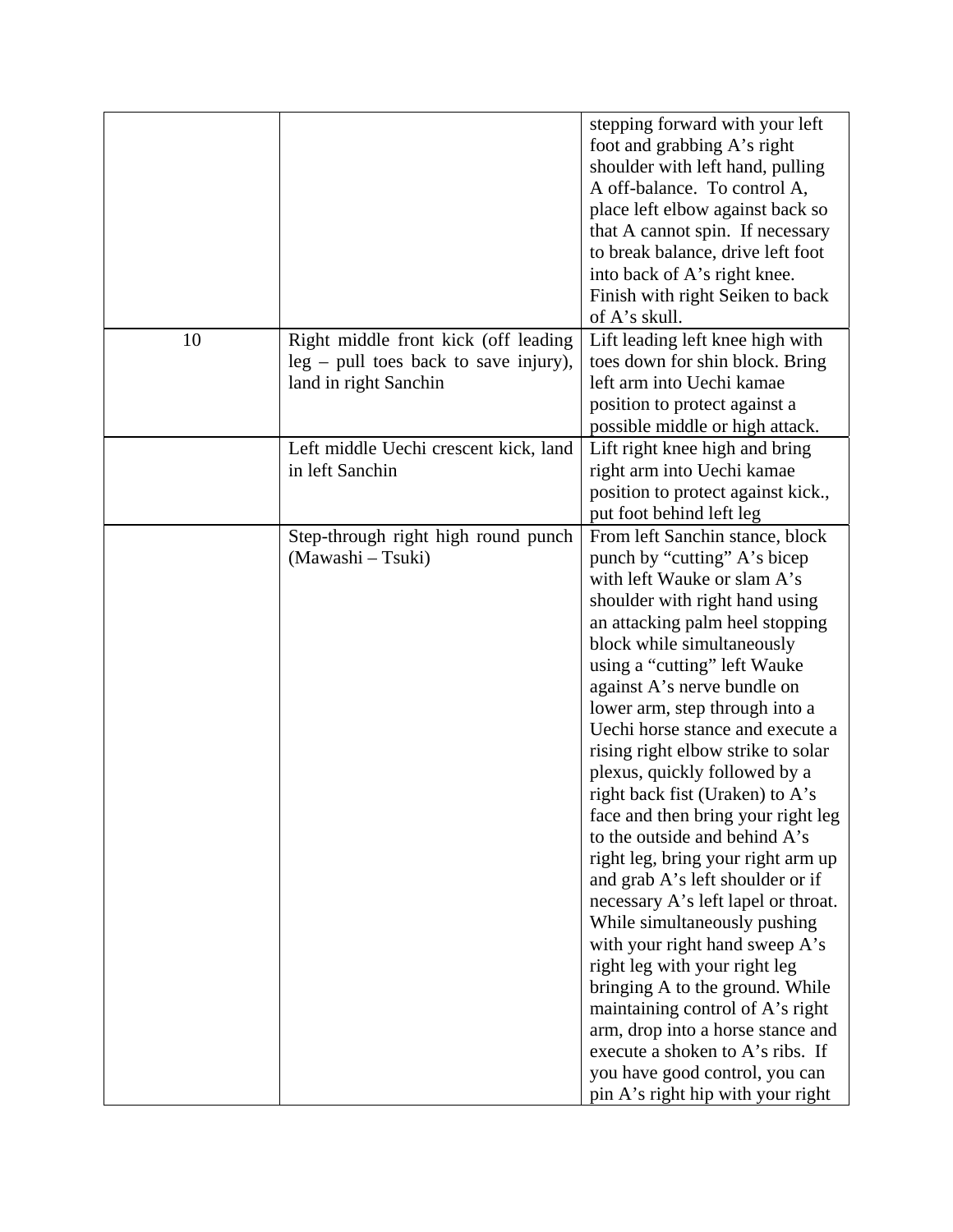|    |                                                                                                          | stepping forward with your left<br>foot and grabbing A's right<br>shoulder with left hand, pulling<br>A off-balance. To control A,<br>place left elbow against back so<br>that A cannot spin. If necessary<br>to break balance, drive left foot<br>into back of A's right knee.<br>Finish with right Seiken to back<br>of A's skull.                                                                                                                                                                                                                                                                                                                                                                                                                                                                                                                                                                                                                               |
|----|----------------------------------------------------------------------------------------------------------|--------------------------------------------------------------------------------------------------------------------------------------------------------------------------------------------------------------------------------------------------------------------------------------------------------------------------------------------------------------------------------------------------------------------------------------------------------------------------------------------------------------------------------------------------------------------------------------------------------------------------------------------------------------------------------------------------------------------------------------------------------------------------------------------------------------------------------------------------------------------------------------------------------------------------------------------------------------------|
| 10 | Right middle front kick (off leading<br>$leg - pull$ toes back to save injury),<br>land in right Sanchin | Lift leading left knee high with<br>toes down for shin block. Bring<br>left arm into Uechi kamae<br>position to protect against a<br>possible middle or high attack.                                                                                                                                                                                                                                                                                                                                                                                                                                                                                                                                                                                                                                                                                                                                                                                               |
|    | Left middle Uechi crescent kick, land<br>in left Sanchin                                                 | Lift right knee high and bring<br>right arm into Uechi kamae<br>position to protect against kick.,<br>put foot behind left leg                                                                                                                                                                                                                                                                                                                                                                                                                                                                                                                                                                                                                                                                                                                                                                                                                                     |
|    | Step-through right high round punch<br>(Mawashi - Tsuki)                                                 | From left Sanchin stance, block<br>punch by "cutting" A's bicep<br>with left Wauke or slam A's<br>shoulder with right hand using<br>an attacking palm heel stopping<br>block while simultaneously<br>using a "cutting" left Wauke<br>against A's nerve bundle on<br>lower arm, step through into a<br>Uechi horse stance and execute a<br>rising right elbow strike to solar<br>plexus, quickly followed by a<br>right back fist (Uraken) to A's<br>face and then bring your right leg<br>to the outside and behind A's<br>right leg, bring your right arm up<br>and grab A's left shoulder or if<br>necessary A's left lapel or throat.<br>While simultaneously pushing<br>with your right hand sweep A's<br>right leg with your right leg<br>bringing A to the ground. While<br>maintaining control of A's right<br>arm, drop into a horse stance and<br>execute a shoken to A's ribs. If<br>you have good control, you can<br>pin A's right hip with your right |